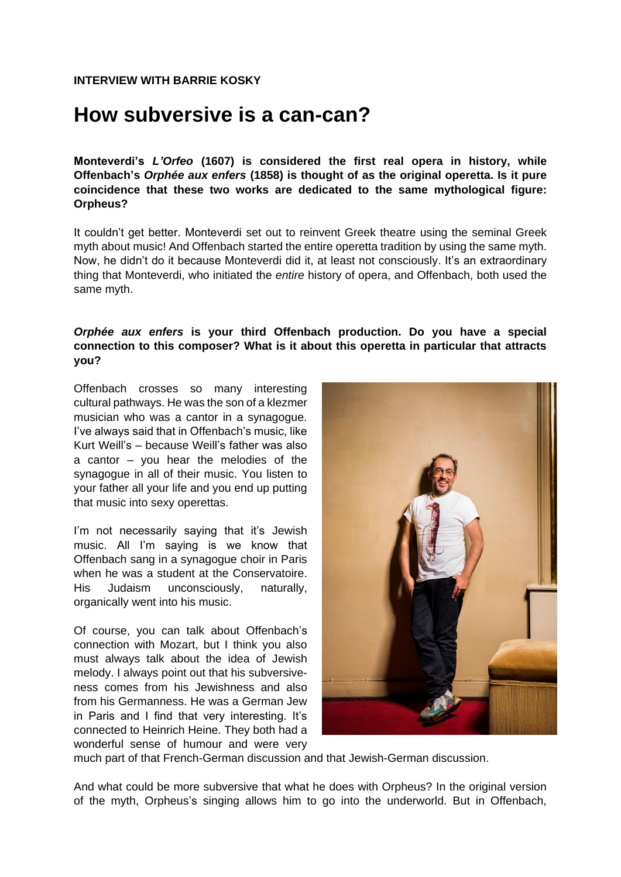## **How subversive is a can-can?**

**Monteverdi's** *L'Orfeo* **(1607) is considered the first real opera in history, while Offenbach's** *Orphée aux enfers* **(1858) is thought of as the original operetta. Is it pure coincidence that these two works are dedicated to the same mythological figure: Orpheus?** 

It couldn't get better. Monteverdi set out to reinvent Greek theatre using the seminal Greek myth about music! And Offenbach started the entire operetta tradition by using the same myth. Now, he didn't do it because Monteverdi did it, at least not consciously. It's an extraordinary thing that Monteverdi, who initiated the *entire* history of opera, and Offenbach, both used the same myth.

#### *Orphée aux enfers* **is your third Offenbach production. Do you have a special connection to this composer? What is it about this operetta in particular that attracts you?**

Offenbach crosses so many interesting cultural pathways. He was the son of a klezmer musician who was a cantor in a synagogue. I've always said that in Offenbach's music, like Kurt Weill's – because Weill's father was also a cantor – you hear the melodies of the synagogue in all of their music. You listen to your father all your life and you end up putting that music into sexy operettas.

I'm not necessarily saying that it's Jewish music. All I'm saying is we know that Offenbach sang in a synagogue choir in Paris when he was a student at the Conservatoire. His Judaism unconsciously, naturally, organically went into his music.

Of course, you can talk about Offenbach's connection with Mozart, but I think you also must always talk about the idea of Jewish melody. I always point out that his subversiveness comes from his Jewishness and also from his Germanness. He was a German Jew in Paris and I find that very interesting. It's connected to Heinrich Heine. They both had a wonderful sense of humour and were very



much part of that French-German discussion and that Jewish-German discussion.

And what could be more subversive that what he does with Orpheus? In the original version of the myth, Orpheus's singing allows him to go into the underworld. But in Offenbach,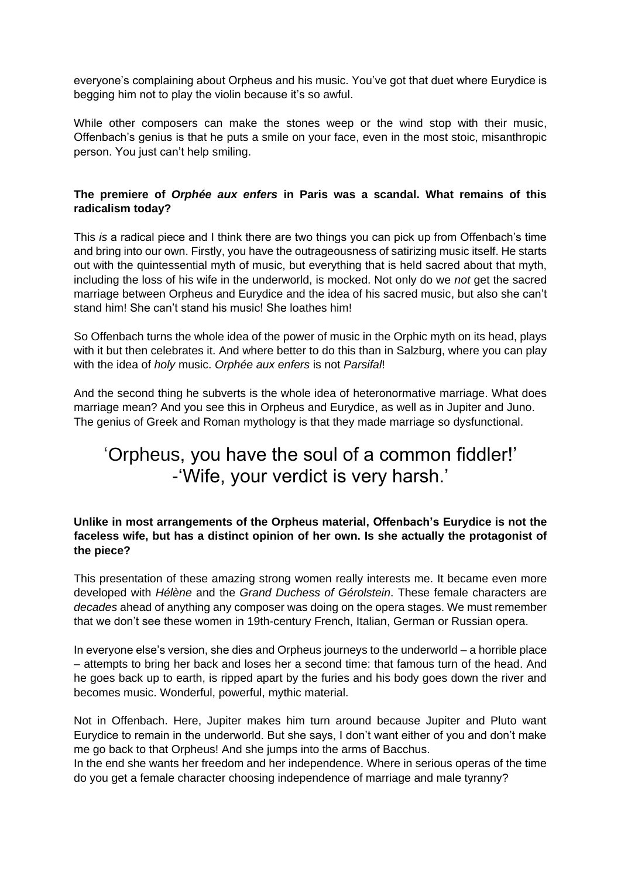everyone's complaining about Orpheus and his music. You've got that duet where Eurydice is begging him not to play the violin because it's so awful.

While other composers can make the stones weep or the wind stop with their music, Offenbach's genius is that he puts a smile on your face, even in the most stoic, misanthropic person. You just can't help smiling.

#### **The premiere of** *Orphée aux enfers* **in Paris was a scandal. What remains of this radicalism today?**

This *is* a radical piece and I think there are two things you can pick up from Offenbach's time and bring into our own. Firstly, you have the outrageousness of satirizing music itself. He starts out with the quintessential myth of music, but everything that is held sacred about that myth, including the loss of his wife in the underworld, is mocked. Not only do we *not* get the sacred marriage between Orpheus and Eurydice and the idea of his sacred music, but also she can't stand him! She can't stand his music! She loathes him!

So Offenbach turns the whole idea of the power of music in the Orphic myth on its head, plays with it but then celebrates it. And where better to do this than in Salzburg, where you can play with the idea of *holy* music. *Orphée aux enfers* is not *Parsifal*!

And the second thing he subverts is the whole idea of heteronormative marriage. What does marriage mean? And you see this in Orpheus and Eurydice, as well as in Jupiter and Juno. The genius of Greek and Roman mythology is that they made marriage so dysfunctional.

## 'Orpheus, you have the soul of a common fiddler!' -'Wife, your verdict is very harsh.'

#### **Unlike in most arrangements of the Orpheus material, Offenbach's Eurydice is not the faceless wife, but has a distinct opinion of her own. Is she actually the protagonist of the piece?**

This presentation of these amazing strong women really interests me. It became even more developed with *Hélène* and the *Grand Duchess of Gérolstein*. These female characters are *decades* ahead of anything any composer was doing on the opera stages. We must remember that we don't see these women in 19th-century French, Italian, German or Russian opera.

In everyone else's version, she dies and Orpheus journeys to the underworld – a horrible place – attempts to bring her back and loses her a second time: that famous turn of the head. And he goes back up to earth, is ripped apart by the furies and his body goes down the river and becomes music. Wonderful, powerful, mythic material.

Not in Offenbach. Here, Jupiter makes him turn around because Jupiter and Pluto want Eurydice to remain in the underworld. But she says, I don't want either of you and don't make me go back to that Orpheus! And she jumps into the arms of Bacchus.

In the end she wants her freedom and her independence. Where in serious operas of the time do you get a female character choosing independence of marriage and male tyranny?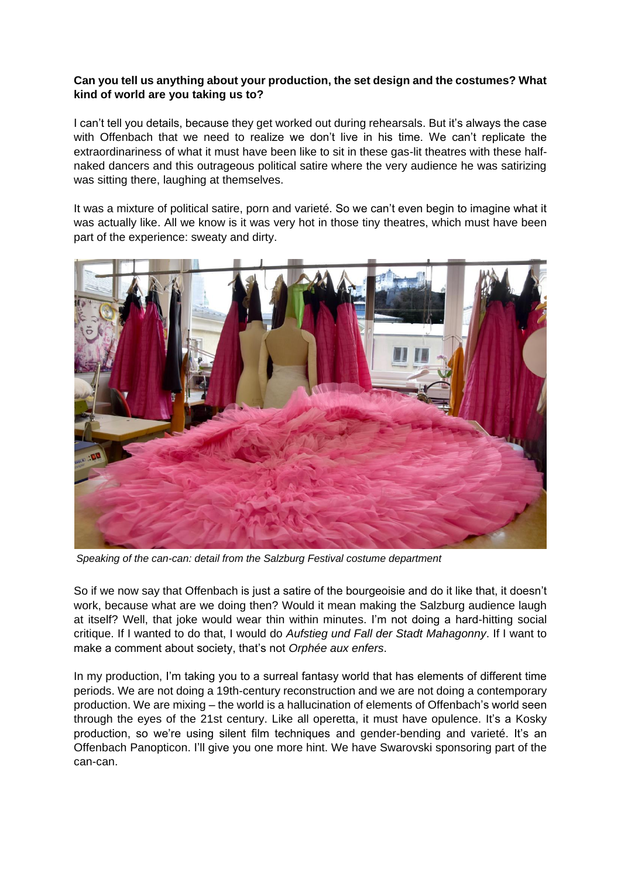#### **Can you tell us anything about your production, the set design and the costumes? What kind of world are you taking us to?**

I can't tell you details, because they get worked out during rehearsals. But it's always the case with Offenbach that we need to realize we don't live in his time. We can't replicate the extraordinariness of what it must have been like to sit in these gas-lit theatres with these halfnaked dancers and this outrageous political satire where the very audience he was satirizing was sitting there, laughing at themselves.

It was a mixture of political satire, porn and varieté. So we can't even begin to imagine what it was actually like. All we know is it was very hot in those tiny theatres, which must have been part of the experience: sweaty and dirty.



*Speaking of the can-can: detail from the Salzburg Festival costume department*

So if we now say that Offenbach is just a satire of the bourgeoisie and do it like that, it doesn't work, because what are we doing then? Would it mean making the Salzburg audience laugh at itself? Well, that joke would wear thin within minutes. I'm not doing a hard-hitting social critique. If I wanted to do that, I would do *Aufstieg und Fall der Stadt Mahagonny*. If I want to make a comment about society, that's not *Orphée aux enfers*.

In my production, I'm taking you to a surreal fantasy world that has elements of different time periods. We are not doing a 19th-century reconstruction and we are not doing a contemporary production. We are mixing – the world is a hallucination of elements of Offenbach's world seen through the eyes of the 21st century. Like all operetta, it must have opulence. It's a Kosky production, so we're using silent film techniques and gender-bending and varieté. It's an Offenbach Panopticon. I'll give you one more hint. We have Swarovski sponsoring part of the can-can.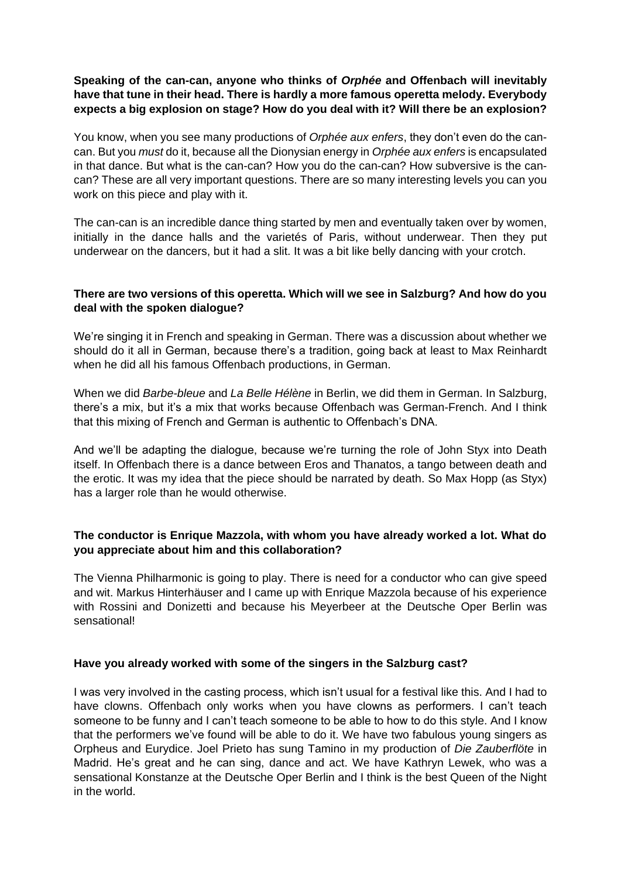#### **Speaking of the can-can, anyone who thinks of** *Orphée* **and Offenbach will inevitably have that tune in their head. There is hardly a more famous operetta melody. Everybody expects a big explosion on stage? How do you deal with it? Will there be an explosion?**

You know, when you see many productions of *Orphée aux enfers*, they don't even do the cancan. But you *must* do it, because all the Dionysian energy in *Orphée aux enfers* is encapsulated in that dance. But what is the can-can? How you do the can-can? How subversive is the cancan? These are all very important questions. There are so many interesting levels you can you work on this piece and play with it.

The can-can is an incredible dance thing started by men and eventually taken over by women, initially in the dance halls and the varietés of Paris, without underwear. Then they put underwear on the dancers, but it had a slit. It was a bit like belly dancing with your crotch.

#### **There are two versions of this operetta. Which will we see in Salzburg? And how do you deal with the spoken dialogue?**

We're singing it in French and speaking in German. There was a discussion about whether we should do it all in German, because there's a tradition, going back at least to Max Reinhardt when he did all his famous Offenbach productions, in German.

When we did *Barbe-bleue* and *La Belle Hélène* in Berlin, we did them in German. In Salzburg, there's a mix, but it's a mix that works because Offenbach was German-French. And I think that this mixing of French and German is authentic to Offenbach's DNA.

And we'll be adapting the dialogue, because we're turning the role of John Styx into Death itself. In Offenbach there is a dance between Eros and Thanatos, a tango between death and the erotic. It was my idea that the piece should be narrated by death. So Max Hopp (as Styx) has a larger role than he would otherwise.

#### **The conductor is Enrique Mazzola, with whom you have already worked a lot. What do you appreciate about him and this collaboration?**

The Vienna Philharmonic is going to play. There is need for a conductor who can give speed and wit. Markus Hinterhäuser and I came up with Enrique Mazzola because of his experience with Rossini and Donizetti and because his Meyerbeer at the Deutsche Oper Berlin was sensational!

#### **Have you already worked with some of the singers in the Salzburg cast?**

I was very involved in the casting process, which isn't usual for a festival like this. And I had to have clowns. Offenbach only works when you have clowns as performers. I can't teach someone to be funny and I can't teach someone to be able to how to do this style. And I know that the performers we've found will be able to do it. We have two fabulous young singers as Orpheus and Eurydice. Joel Prieto has sung Tamino in my production of *Die Zauberflöte* in Madrid. He's great and he can sing, dance and act. We have Kathryn Lewek, who was a sensational Konstanze at the Deutsche Oper Berlin and I think is the best Queen of the Night in the world.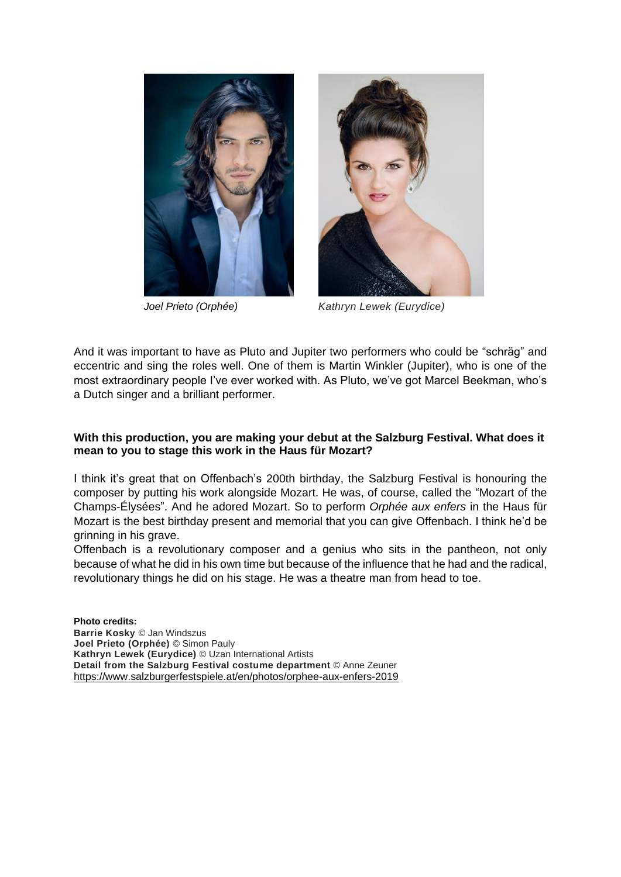



*Joel Prieto (Orphée) Kathryn Lewek (Eurydice)*

And it was important to have as Pluto and Jupiter two performers who could be "schräg" and eccentric and sing the roles well. One of them is Martin Winkler (Jupiter), who is one of the most extraordinary people I've ever worked with. As Pluto, we've got Marcel Beekman, who's a Dutch singer and a brilliant performer.

#### **With this production, you are making your debut at the Salzburg Festival. What does it mean to you to stage this work in the Haus für Mozart?**

I think it's great that on Offenbach's 200th birthday, the Salzburg Festival is honouring the composer by putting his work alongside Mozart. He was, of course, called the "Mozart of the Champs-Élysées". And he adored Mozart. So to perform *Orphée aux enfers* in the Haus für Mozart is the best birthday present and memorial that you can give Offenbach. I think he'd be grinning in his grave.

Offenbach is a revolutionary composer and a genius who sits in the pantheon, not only because of what he did in his own time but because of the influence that he had and the radical, revolutionary things he did on his stage. He was a theatre man from head to toe.

**Photo credits: Barrie Kosky** © Jan Windszus **Joel Prieto (Orphée)** © Simon Pauly **Kathryn Lewek (Eurydice)** © Uzan International Artists **Detail from the Salzburg Festival costume department** © Anne Zeuner <https://www.salzburgerfestspiele.at/en/photos/orphee-aux-enfers-2019>